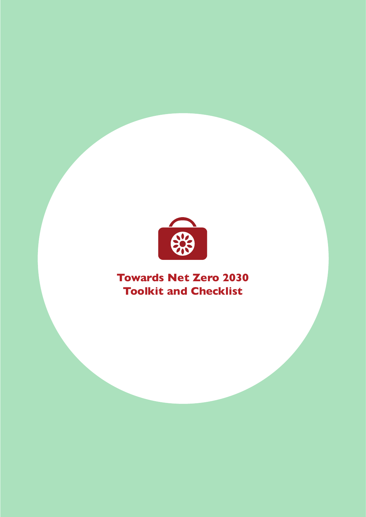

## **Towards Net Zero 2030 Toolkit and Checklist**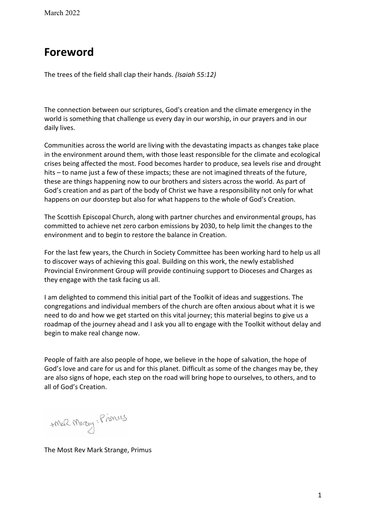### **Foreword**

The trees of the field shall clap their hands. *(Isaiah 55:12)*

The connection between our scriptures, God's creation and the climate emergency in the world is something that challenge us every day in our worship, in our prayers and in our daily lives.

Communities across the world are living with the devastating impacts as changes take place in the environment around them, with those least responsible for the climate and ecological crises being affected the most. Food becomes harder to produce, sea levels rise and drought hits  $-$  to name just a few of these impacts; these are not imagined threats of the future, these are things happening now to our brothers and sisters across the world. As part of God's creation and as part of the body of Christ we have a responsibility not only for what happens on our doorstep but also for what happens to the whole of God's Creation.

The Scottish Episcopal Church, along with partner churches and environmental groups, has committed to achieve net zero carbon emissions by 2030, to help limit the changes to the environment and to begin to restore the balance in Creation.

For the last few years, the Church in Society Committee has been working hard to help us all to discover ways of achieving this goal. Building on this work, the newly established Provincial Environment Group will provide continuing support to Dioceses and Charges as they engage with the task facing us all.

I am delighted to commend this initial part of the Toolkit of ideas and suggestions. The congregations and individual members of the church are often anxious about what it is we need to do and how we get started on this vital journey; this material begins to give us a roadmap of the journey ahead and I ask you all to engage with the Toolkit without delay and begin to make real change now.

People of faith are also people of hope, we believe in the hope of salvation, the hope of God's love and care for us and for this planet. Difficult as some of the changes may be, they are also signs of hope, each step on the road will bring hope to ourselves, to others, and to all of God's Creation.

+MaR Morcy: Primes

The Most Rev Mark Strange, Primus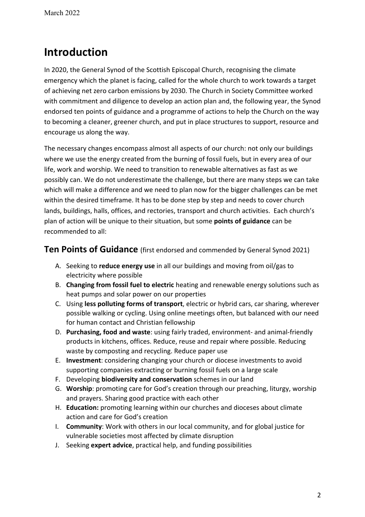## **Introduction**

In 2020, the General Synod of the Scottish Episcopal Church, recognising the climate emergency which the planet is facing, called for the whole church to work towards a target of achieving net zero carbon emissions by 2030. The Church in Society Committee worked with commitment and diligence to develop an action plan and, the following year, the Synod endorsed ten points of guidance and a programme of actions to help the Church on the way to becoming a cleaner, greener church, and put in place structures to support, resource and encourage us along the way.

The necessary changes encompass almost all aspects of our church: not only our buildings where we use the energy created from the burning of fossil fuels, but in every area of our life, work and worship. We need to transition to renewable alternatives as fast as we possibly can. We do not underestimate the challenge, but there are many steps we can take which will make a difference and we need to plan now for the bigger challenges can be met within the desired timeframe. It has to be done step by step and needs to cover church lands, buildings, halls, offices, and rectories, transport and church activities. Each church's plan of action will be unique to their situation, but some **points of guidance** can be recommended to all:

#### **Ten Points of Guidance** (first endorsed and commended by General Synod 2021)

- A. Seeking to **reduce energy use** in all our buildings and moving from oil/gas to electricity where possible
- B. **Changing from fossil fuel to electric** heating and renewable energy solutions such as heat pumps and solar power on our properties
- C. Using **less polluting forms of transport**, electric or hybrid cars, car sharing, wherever possible walking or cycling. Using online meetings often, but balanced with our need for human contact and Christian fellowship
- D. **Purchasing, food and waste**: using fairly traded, environment- and animal-friendly products in kitchens, offices. Reduce, reuse and repair where possible. Reducing waste by composting and recycling. Reduce paper use
- E. **Investment**: considering changing your church or diocese investments to avoid supporting companies extracting or burning fossil fuels on a large scale
- F. Developing **biodiversity and conservation** schemes in our land
- G. **Worship**: promoting care for God's creation through our preaching, liturgy, worship and prayers. Sharing good practice with each other
- H. **Education:** promoting learning within our churches and dioceses about climate action and care for God's creation
- I. **Community**: Work with others in our local community, and for global justice for vulnerable societies most affected by climate disruption
- J. Seeking **expert advice**, practical help, and funding possibilities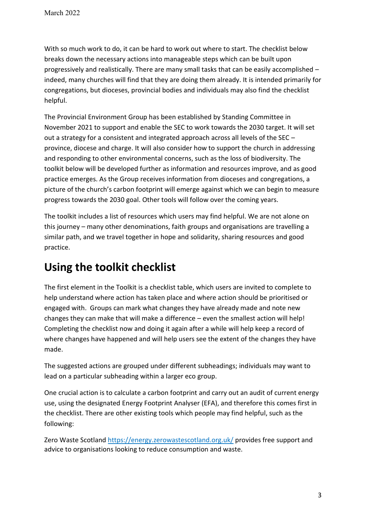With so much work to do, it can be hard to work out where to start. The checklist below breaks down the necessary actions into manageable steps which can be built upon progressively and realistically. There are many small tasks that can be easily accomplished  $$ indeed, many churches will find that they are doing them already. It is intended primarily for congregations, but dioceses, provincial bodies and individuals may also find the checklist helpful.

The Provincial Environment Group has been established by Standing Committee in November 2021 to support and enable the SEC to work towards the 2030 target. It will set out a strategy for a consistent and integrated approach across all levels of the SEC  $$ province, diocese and charge. It will also consider how to support the church in addressing and responding to other environmental concerns, such as the loss of biodiversity. The toolkit below will be developed further as information and resources improve, and as good practice emerges. As the Group receives information from dioceses and congregations, a picture of the church's carbon footprint will emerge against which we can begin to measure progress towards the 2030 goal. Other tools will follow over the coming years.

The toolkit includes a list of resources which users may find helpful. We are not alone on this journey  $-$  many other denominations, faith groups and organisations are travelling a similar path, and we travel together in hope and solidarity, sharing resources and good practice.

## **Using the toolkit checklist**

The first element in the Toolkit is a checklist table, which users are invited to complete to help understand where action has taken place and where action should be prioritised or engaged with. Groups can mark what changes they have already made and note new changes they can make that will make a difference  $-$  even the smallest action will help! Completing the checklist now and doing it again after a while will help keep a record of where changes have happened and will help users see the extent of the changes they have made.

The suggested actions are grouped under different subheadings; individuals may want to lead on a particular subheading within a larger eco group.

One crucial action is to calculate a carbon footprint and carry out an audit of current energy use, using the designated Energy Footprint Analyser (EFA), and therefore this comes first in the checklist. There are other existing tools which people may find helpful, such as the following:

Zero Waste Scotland <https://energy.zerowastescotland.org.uk/> provides free support and advice to organisations looking to reduce consumption and waste.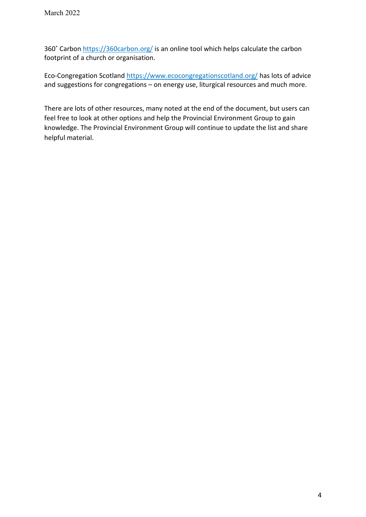360° Carbon <https://360carbon.org/> is an online tool which helps calculate the carbon footprint of a church or organisation.

Eco-Congregation Scotland<https://www.ecocongregationscotland.org/> has lots of advice and suggestions for congregations  $-$  on energy use, liturgical resources and much more.

There are lots of other resources, many noted at the end of the document, but users can feel free to look at other options and help the Provincial Environment Group to gain knowledge. The Provincial Environment Group will continue to update the list and share helpful material.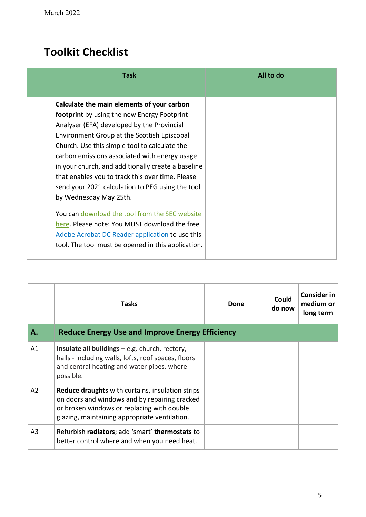# **Toolkit Checklist**

| <b>Task</b>                                                                                                                                                                                                                                                                                                                                                                                                                                                                                                                                                                                                                                                                                  | All to do |
|----------------------------------------------------------------------------------------------------------------------------------------------------------------------------------------------------------------------------------------------------------------------------------------------------------------------------------------------------------------------------------------------------------------------------------------------------------------------------------------------------------------------------------------------------------------------------------------------------------------------------------------------------------------------------------------------|-----------|
| Calculate the main elements of your carbon<br>footprint by using the new Energy Footprint<br>Analyser (EFA) developed by the Provincial<br>Environment Group at the Scottish Episcopal<br>Church. Use this simple tool to calculate the<br>carbon emissions associated with energy usage<br>in your church, and additionally create a baseline<br>that enables you to track this over time. Please<br>send your 2021 calculation to PEG using the tool<br>by Wednesday May 25th.<br>You can download the tool from the SEC website<br>here. Please note: You MUST download the free<br>Adobe Acrobat DC Reader application to use this<br>tool. The tool must be opened in this application. |           |

|                | <b>Tasks</b>                                                                                                                                                                                            | Done | Could<br>do now | <b>Consider in</b><br>medium or<br>long term |
|----------------|---------------------------------------------------------------------------------------------------------------------------------------------------------------------------------------------------------|------|-----------------|----------------------------------------------|
| А.             | <b>Reduce Energy Use and Improve Energy Efficiency</b>                                                                                                                                                  |      |                 |                                              |
| A1             | Insulate all buildings $-$ e.g. church, rectory,<br>halls - including walls, lofts, roof spaces, floors<br>and central heating and water pipes, where<br>possible.                                      |      |                 |                                              |
| A <sub>2</sub> | <b>Reduce draughts</b> with curtains, insulation strips<br>on doors and windows and by repairing cracked<br>or broken windows or replacing with double<br>glazing, maintaining appropriate ventilation. |      |                 |                                              |
| A <sub>3</sub> | Refurbish radiators; add 'smart' thermostats to<br>better control where and when you need heat.                                                                                                         |      |                 |                                              |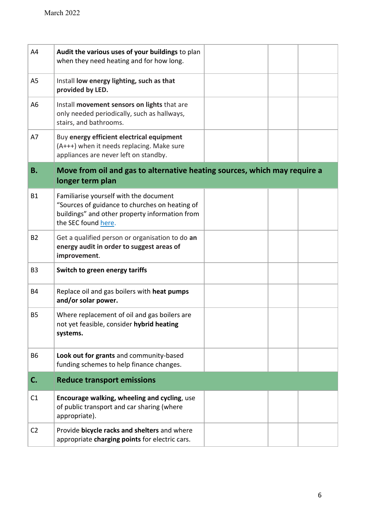| A4             | Audit the various uses of your buildings to plan<br>when they need heating and for how long.                                                                      |  |  |
|----------------|-------------------------------------------------------------------------------------------------------------------------------------------------------------------|--|--|
| A <sub>5</sub> | Install low energy lighting, such as that<br>provided by LED.                                                                                                     |  |  |
| A <sub>6</sub> | Install movement sensors on lights that are<br>only needed periodically, such as hallways,<br>stairs, and bathrooms.                                              |  |  |
| A7             | Buy energy efficient electrical equipment<br>(A+++) when it needs replacing. Make sure<br>appliances are never left on standby.                                   |  |  |
| <b>B.</b>      | Move from oil and gas to alternative heating sources, which may require a                                                                                         |  |  |
|                | longer term plan                                                                                                                                                  |  |  |
| <b>B1</b>      | Familiarise yourself with the document<br>"Sources of guidance to churches on heating of<br>buildings" and other property information from<br>the SEC found here. |  |  |
| <b>B2</b>      | Get a qualified person or organisation to do an<br>energy audit in order to suggest areas of<br>improvement.                                                      |  |  |
| B <sub>3</sub> | Switch to green energy tariffs                                                                                                                                    |  |  |
| <b>B4</b>      | Replace oil and gas boilers with heat pumps<br>and/or solar power.                                                                                                |  |  |
| <b>B5</b>      | Where replacement of oil and gas boilers are<br>not yet feasible, consider hybrid heating<br>systems.                                                             |  |  |
| <b>B6</b>      | Look out for grants and community-based<br>funding schemes to help finance changes.                                                                               |  |  |
| C.             | <b>Reduce transport emissions</b>                                                                                                                                 |  |  |
| C1             | Encourage walking, wheeling and cycling, use<br>of public transport and car sharing (where<br>appropriate).                                                       |  |  |
| C <sub>2</sub> | Provide bicycle racks and shelters and where<br>appropriate charging points for electric cars.                                                                    |  |  |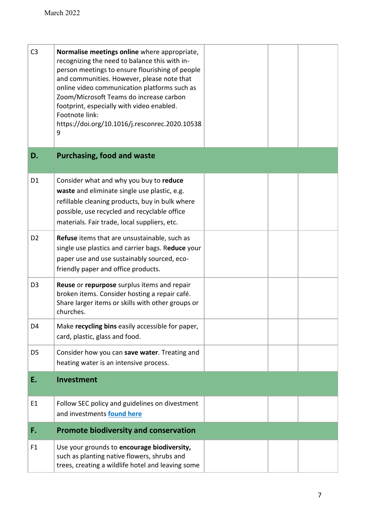| C <sub>3</sub> | Normalise meetings online where appropriate,<br>recognizing the need to balance this with in-<br>person meetings to ensure flourishing of people<br>and communities. However, please note that<br>online video communication platforms such as<br>Zoom/Microsoft Teams do increase carbon<br>footprint, especially with video enabled.<br>Footnote link:<br>https://doi.org/10.1016/j.resconrec.2020.10538<br>9 |  |  |
|----------------|-----------------------------------------------------------------------------------------------------------------------------------------------------------------------------------------------------------------------------------------------------------------------------------------------------------------------------------------------------------------------------------------------------------------|--|--|
| D.             | <b>Purchasing, food and waste</b>                                                                                                                                                                                                                                                                                                                                                                               |  |  |
| D <sub>1</sub> | Consider what and why you buy to reduce<br>waste and eliminate single use plastic, e.g.<br>refillable cleaning products, buy in bulk where<br>possible, use recycled and recyclable office<br>materials. Fair trade, local suppliers, etc.                                                                                                                                                                      |  |  |
| D <sub>2</sub> | Refuse items that are unsustainable, such as<br>single use plastics and carrier bags. Reduce your<br>paper use and use sustainably sourced, eco-<br>friendly paper and office products.                                                                                                                                                                                                                         |  |  |
| D <sub>3</sub> | Reuse or repurpose surplus items and repair<br>broken items. Consider hosting a repair café.<br>Share larger items or skills with other groups or<br>churches.                                                                                                                                                                                                                                                  |  |  |
| D4             | Make recycling bins easily accessible for paper,<br>card, plastic, glass and food.                                                                                                                                                                                                                                                                                                                              |  |  |
| D <sub>5</sub> | Consider how you can save water. Treating and<br>heating water is an intensive process.                                                                                                                                                                                                                                                                                                                         |  |  |
| E.             | Investment                                                                                                                                                                                                                                                                                                                                                                                                      |  |  |
| E1             | Follow SEC policy and guidelines on divestment<br>and investments found here                                                                                                                                                                                                                                                                                                                                    |  |  |
| F.             | <b>Promote biodiversity and conservation</b>                                                                                                                                                                                                                                                                                                                                                                    |  |  |
| F1             | Use your grounds to encourage biodiversity,<br>such as planting native flowers, shrubs and<br>trees, creating a wildlife hotel and leaving some                                                                                                                                                                                                                                                                 |  |  |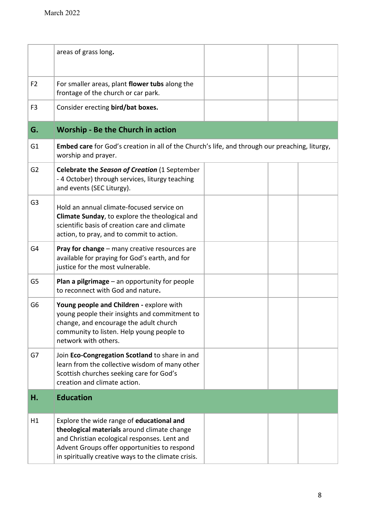|                | areas of grass long.                                                                                                  |  |  |
|----------------|-----------------------------------------------------------------------------------------------------------------------|--|--|
|                |                                                                                                                       |  |  |
| F <sub>2</sub> | For smaller areas, plant flower tubs along the                                                                        |  |  |
|                | frontage of the church or car park.                                                                                   |  |  |
| F <sub>3</sub> | Consider erecting bird/bat boxes.                                                                                     |  |  |
|                |                                                                                                                       |  |  |
| G.             | <b>Worship - Be the Church in action</b>                                                                              |  |  |
| G <sub>1</sub> | Embed care for God's creation in all of the Church's life, and through our preaching, liturgy,<br>worship and prayer. |  |  |
| G <sub>2</sub> | Celebrate the Season of Creation (1 September                                                                         |  |  |
|                | - 4 October) through services, liturgy teaching                                                                       |  |  |
|                | and events (SEC Liturgy).                                                                                             |  |  |
| G <sub>3</sub> | Hold an annual climate-focused service on                                                                             |  |  |
|                | Climate Sunday, to explore the theological and<br>scientific basis of creation care and climate                       |  |  |
|                | action, to pray, and to commit to action.                                                                             |  |  |
| G4             | Pray for change - many creative resources are                                                                         |  |  |
|                | available for praying for God's earth, and for                                                                        |  |  |
|                | justice for the most vulnerable.                                                                                      |  |  |
| G5             | <b>Plan a pilgrimage</b> $-$ an opportunity for people<br>to reconnect with God and nature.                           |  |  |
|                |                                                                                                                       |  |  |
| G <sub>6</sub> | Young people and Children - explore with<br>young people their insights and commitment to                             |  |  |
|                | change, and encourage the adult church                                                                                |  |  |
|                | community to listen. Help young people to<br>network with others.                                                     |  |  |
|                |                                                                                                                       |  |  |
| G7             | Join Eco-Congregation Scotland to share in and<br>learn from the collective wisdom of many other                      |  |  |
|                | Scottish churches seeking care for God's                                                                              |  |  |
|                | creation and climate action.                                                                                          |  |  |
| н.             | <b>Education</b>                                                                                                      |  |  |
| H1             | Explore the wide range of educational and                                                                             |  |  |
|                | theological materials around climate change                                                                           |  |  |
|                | and Christian ecological responses. Lent and<br>Advent Groups offer opportunities to respond                          |  |  |
|                | in spiritually creative ways to the climate crisis.                                                                   |  |  |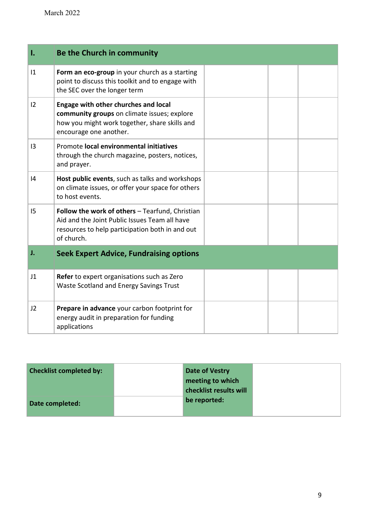| Ι.          | Be the Church in community                                                                                                                                        |  |  |
|-------------|-------------------------------------------------------------------------------------------------------------------------------------------------------------------|--|--|
| $ 1\rangle$ | Form an eco-group in your church as a starting<br>point to discuss this toolkit and to engage with<br>the SEC over the longer term                                |  |  |
| 12          | Engage with other churches and local<br>community groups on climate issues; explore<br>how you might work together, share skills and<br>encourage one another.    |  |  |
| 13          | Promote local environmental initiatives<br>through the church magazine, posters, notices,<br>and prayer.                                                          |  |  |
| 4           | Host public events, such as talks and workshops<br>on climate issues, or offer your space for others<br>to host events.                                           |  |  |
| 15          | Follow the work of others - Tearfund, Christian<br>Aid and the Joint Public Issues Team all have<br>resources to help participation both in and out<br>of church. |  |  |
| J.          | <b>Seek Expert Advice, Fundraising options</b>                                                                                                                    |  |  |
| J1          | Refer to expert organisations such as Zero<br>Waste Scotland and Energy Savings Trust                                                                             |  |  |
| J2          | Prepare in advance your carbon footprint for<br>energy audit in preparation for funding<br>applications                                                           |  |  |

| <b>Checklist completed by:</b> | Date of Vestry<br>meeting to which |  |
|--------------------------------|------------------------------------|--|
|                                | checklist results will             |  |
| Date completed:                | be reported:                       |  |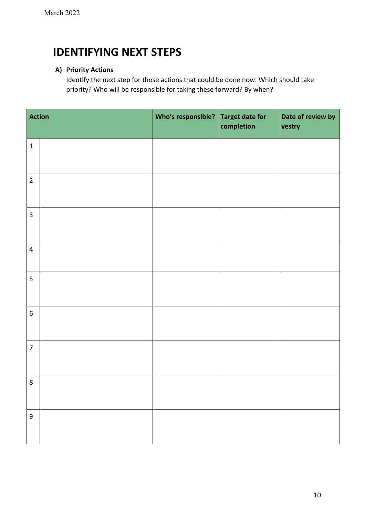### **IDENTIFYING NEXT STEPS**

#### **A) Priority Actions**

Identify the next step for those actions that could be done now. Which should take priority? Who will be responsible for taking these forward? By when?

| Action                  | Who's responsible? | <b>Target date for</b><br>completion | Date of review by<br>vestry |
|-------------------------|--------------------|--------------------------------------|-----------------------------|
| $\mathbf 1$             |                    |                                      |                             |
| $\overline{2}$          |                    |                                      |                             |
| $\overline{\mathbf{3}}$ |                    |                                      |                             |
| $\overline{4}$          |                    |                                      |                             |
| 5                       |                    |                                      |                             |
| $\boldsymbol{6}$        |                    |                                      |                             |
| $\overline{7}$          |                    |                                      |                             |
| $\,8\,$                 |                    |                                      |                             |
| $\overline{9}$          |                    |                                      |                             |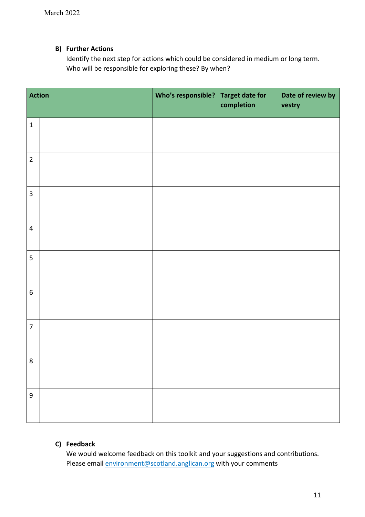#### **B) Further Actions**

Identify the next step for actions which could be considered in medium or long term. Who will be responsible for exploring these? By when?

| Action                  |  | Who's responsible? | Target date for<br>completion | Date of review by<br>vestry |  |
|-------------------------|--|--------------------|-------------------------------|-----------------------------|--|
| $\mathbf 1$             |  |                    |                               |                             |  |
| $\overline{2}$          |  |                    |                               |                             |  |
| $\overline{\mathbf{3}}$ |  |                    |                               |                             |  |
| $\overline{\mathbf{4}}$ |  |                    |                               |                             |  |
| 5                       |  |                    |                               |                             |  |
| $\boldsymbol{6}$        |  |                    |                               |                             |  |
| $\overline{7}$          |  |                    |                               |                             |  |
| $\overline{8}$          |  |                    |                               |                             |  |
| $\boldsymbol{9}$        |  |                    |                               |                             |  |

#### **C) Feedback**

We would welcome feedback on this toolkit and your suggestions and contributions. Please email **environment@scotland.anglican.org** with your comments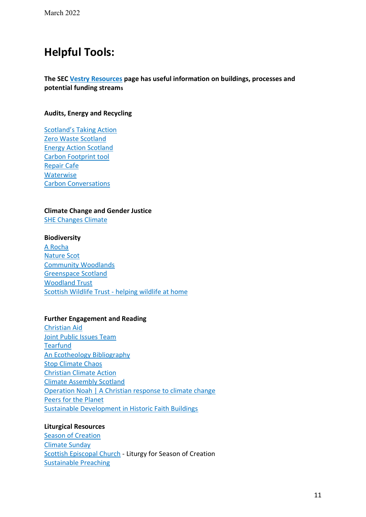## **Helpful Tools:**

#### **The SEC [Vestry Resources](https://www.scotland.anglican.org/vestry-resources/) page has useful information on buildings, processes and potential funding streams**

#### **Audits, Energy and Recycling**

Scotland's Taking Action [Zero Waste Scotland](https://energy.zerowastescotland.org.uk/) [Energy Action Scotland](https://www.eas.org.uk/) [Carbon Footprint tool](https://360carbon.org/) [Repair Cafe](https://repaircafe.org/en/) **[Waterwise](https://www.waterwise.org.uk/save-water/)** [Carbon Conversations](http://www.carbonconversations.co.uk/)

#### **Climate Change and Gender Justice**

[SHE Changes Climate](https://www.shechangesclimate.org/open-letter)

#### **Biodiversity**

[A Rocha](https://www.arocha.org/en) [Nature Scot](https://www.nature.scot/scotlands-biodiversity/make-space-nature) [Community Woodlands](https://www.communitywoods.org/funding) [Greenspace Scotland](https://www.greenspacescotland.org.uk/) [Woodland Trust](https://www.woodlandtrust.org.uk/) Scottish Wildlife Trust - [helping wildlife at home](https://scottishwildlifetrust.org.uk/things-to-do/helping-wildlife-at-home/)

#### **Further Engagement and Reading**

[Christian Aid](https://www.christianaid.org.uk/campaigns/climate) [Joint Public Issues Team](https://www.jointpublicissues.org.uk/) **[Tearfund](https://www.tearfund.org/campaigns/christianity-and-climate-change-film-series)** [An Ecotheology Bibliography](https://hannahmmalcolm.wordpress.com/ecology-for-your-theology-bookshelf/) [Stop Climate Chaos](https://www.stopclimatechaos.scot/three-ways-to-make-our-buildings-fit-for-the-future/) [Christian Climate Action](https://christianclimateaction.org/) [Climate Assembly Scotland](https://www.climateassembly.scot/) [Operation Noah | A Christian response to climate change](https://operationnoah.org/) [Peers for the Planet](https://www.peersfortheplanet.org/) [Sustainable Development in Historic Faith Buildings](https://www.futurelearn.com/courses/enabling-community-based-leadership-in-design-sustainable-development-of-historic-faith-buildings)

#### **Liturgical Resources**

[Season of Creation](https://seasonofcreation.org/resources/) [Climate Sunday](https://seasonofcreation.org/resources/) [Scottish Episcopal Church](https://www.scotland.anglican.org/who-we-are/publications/liturgies/season-of-creation-worship-material-for-experimental-use/) - Liturgy for Season of Creation [Sustainable Preaching](http://sustainable-preaching.org/)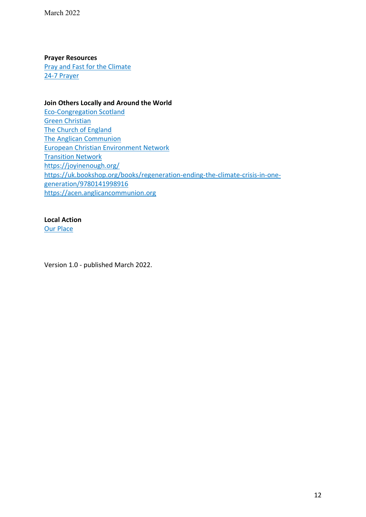#### **Prayer Resources**

[Pray and Fast for the Climate](https://prayandfastfortheclimate.org.uk/) [24-7 Prayer](https://www.24-7prayer.com/climatejustice)

#### **Join Others Locally and Around the World**

[Eco-Congregation Scotland](https://www.ecocongregationscotland.org/) [Green Christian](https://greenchristian.org.uk/) [The Church of England](https://www.churchofengland.org/about/environment-and-climate-change) [The Anglican Communion](https://acen.anglicancommunion.org/) [European Christian Environment Network](https://www.ecen.org/) [Transition Network](https://transitionnetwork.org/) <https://joyinenough.org/> [https://uk.bookshop.org/books/regeneration-ending-the-climate-crisis-in-one](https://uk.bookshop.org/books/regeneration-ending-the-climate-crisis-in-one-generation/9780141998916)[generation/9780141998916](https://uk.bookshop.org/books/regeneration-ending-the-climate-crisis-in-one-generation/9780141998916) [https://acen.anglicancommunion.org](https://acen.anglicancommunion.org/)

#### **Local Action**

[Our Place](https://www.ourplace.scot/)

Version 1.0 - published March 2022.